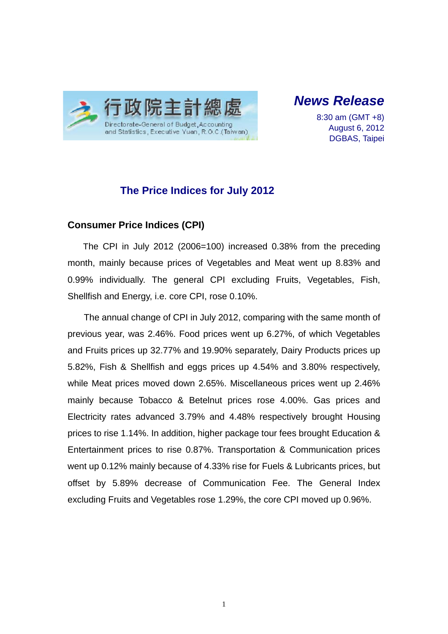

*News Release* 

8:30 am (GMT +8) August 6, 2012 DGBAS, Taipei

## **The Price Indices for July 2012**

#### **Consumer Price Indices (CPI)**

The CPI in July 2012 (2006=100) increased 0.38% from the preceding month, mainly because prices of Vegetables and Meat went up 8.83% and 0.99% individually. The general CPI excluding Fruits, Vegetables, Fish, Shellfish and Energy, i.e. core CPI, rose 0.10%.

The annual change of CPI in July 2012, comparing with the same month of previous year, was 2.46%. Food prices went up 6.27%, of which Vegetables and Fruits prices up 32.77% and 19.90% separately, Dairy Products prices up 5.82%, Fish & Shellfish and eggs prices up 4.54% and 3.80% respectively, while Meat prices moved down 2.65%. Miscellaneous prices went up 2.46% mainly because Tobacco & Betelnut prices rose 4.00%. Gas prices and Electricity rates advanced 3.79% and 4.48% respectively brought Housing prices to rise 1.14%. In addition, higher package tour fees brought Education & Entertainment prices to rise 0.87%. Transportation & Communication prices went up 0.12% mainly because of 4.33% rise for Fuels & Lubricants prices, but offset by 5.89% decrease of Communication Fee. The General Index excluding Fruits and Vegetables rose 1.29%, the core CPI moved up 0.96%.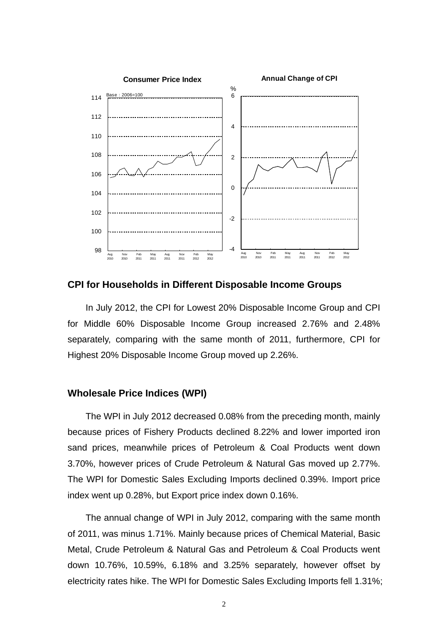

#### **CPI for Households in Different Disposable Income Groups**

In July 2012, the CPI for Lowest 20% Disposable Income Group and CPI for Middle 60% Disposable Income Group increased 2.76% and 2.48% separately, comparing with the same month of 2011, furthermore, CPI for Highest 20% Disposable Income Group moved up 2.26%.

#### **Wholesale Price Indices (WPI)**

The WPI in July 2012 decreased 0.08% from the preceding month, mainly because prices of Fishery Products declined 8.22% and lower imported iron sand prices, meanwhile prices of Petroleum & Coal Products went down 3.70%, however prices of Crude Petroleum & Natural Gas moved up 2.77%. The WPI for Domestic Sales Excluding Imports declined 0.39%. Import price index went up 0.28%, but Export price index down 0.16%.

The annual change of WPI in July 2012, comparing with the same month of 2011, was minus 1.71%. Mainly because prices of Chemical Material, Basic Metal, Crude Petroleum & Natural Gas and Petroleum & Coal Products went down 10.76%, 10.59%, 6.18% and 3.25% separately, however offset by electricity rates hike. The WPI for Domestic Sales Excluding Imports fell 1.31%;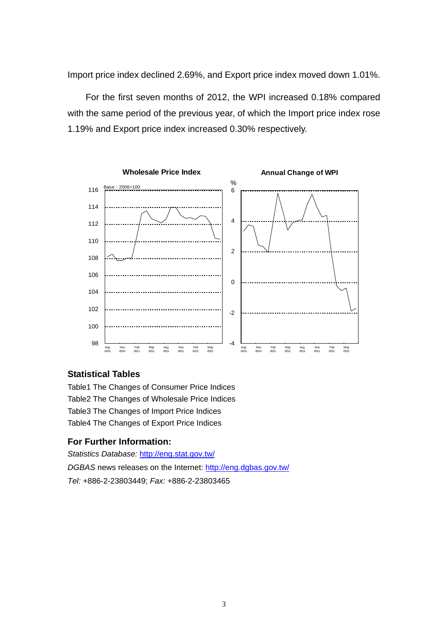Import price index declined 2.69%, and Export price index moved down 1.01%.

For the first seven months of 2012, the WPI increased 0.18% compared with the same period of the previous year, of which the Import price index rose 1.19% and Export price index increased 0.30% respectively.



### **Statistical Tables**

Table1 The Changes of Consumer Price Indices Table2 The Changes of Wholesale Price Indices Table3 The Changes of Import Price Indices Table4 The Changes of Export Price Indices

## **For Further Information:**

*Statistics Database:* http://eng.stat.gov.tw/ *DGBAS* news releases on the Internet: http://eng.dgbas.gov.tw/ *Tel:* +886-2-23803449; *Fax:* +886-2-23803465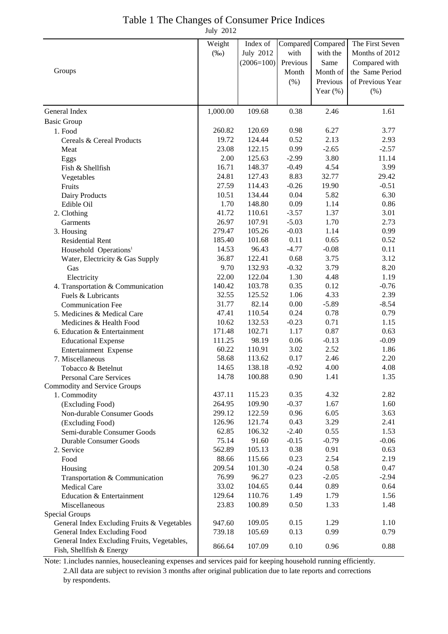| Table 1 The Changes of Consumer Price Indices |  |
|-----------------------------------------------|--|
| July 2012                                     |  |

| Compared Compared<br><b>July 2012</b><br>with<br>with the<br>Months of 2012<br>$(\%0)$<br>$(2006=100)$<br>Previous<br>Same<br>Compared with<br>Groups<br>Month of<br>Month<br>$(\% )$<br>Previous<br>(%)<br>Year $(\%)$<br>109.68<br>General Index<br>1,000.00<br>0.38<br>2.46<br>1.61<br><b>Basic Group</b><br>260.82<br>120.69<br>0.98<br>6.27<br>3.77<br>1. Food<br>2.13<br>19.72<br>124.44<br>0.52<br>2.93<br>Cereals & Cereal Products<br>0.99<br>23.08<br>122.15<br>$-2.65$<br>$-2.57$<br>Meat<br>3.80<br>2.00<br>125.63<br>$-2.99$<br>11.14<br>Eggs<br>3.99<br>16.71<br>148.37<br>$-0.49$<br>4.54<br>Fish & Shellfish<br>32.77<br>24.81<br>127.43<br>8.83<br>29.42<br>Vegetables<br>$-0.26$<br>27.59<br>114.43<br>19.90<br>$-0.51$<br>Fruits<br>0.04<br>5.82<br>6.30<br>10.51<br>134.44<br>Dairy Products<br>0.09<br>1.70<br>148.80<br>1.14<br>0.86<br>Edible Oil<br>1.37<br>41.72<br>110.61<br>$-3.57$<br>3.01<br>2. Clothing<br>1.70<br>26.97<br>107.91<br>$-5.03$<br>2.73<br>Garments<br>0.99<br>279.47<br>105.26<br>$-0.03$<br>1.14<br>3. Housing<br>0.11<br>0.65<br>185.40<br>101.68<br>0.52<br><b>Residential Rent</b><br>$-4.77$<br>$-0.08$<br>14.53<br>96.43<br>0.11<br>Household Operations <sup>1</sup><br>3.75<br>3.12<br>36.87<br>122.41<br>0.68<br>Water, Electricity & Gas Supply<br>132.93<br>3.79<br>9.70<br>$-0.32$<br>8.20<br>Gas<br>22.00<br>122.04<br>1.30<br>4.48<br>1.19<br>Electricity<br>103.78<br>0.35<br>0.12<br>$-0.76$<br>140.42<br>4. Transportation & Communication<br>125.52<br>4.33<br>2.39<br>32.55<br>1.06<br>Fuels & Lubricants<br>82.14<br>0.00<br>$-5.89$<br>31.77<br>$-8.54$<br><b>Communication Fee</b><br>110.54<br>0.24<br>0.78<br>0.79<br>47.41<br>5. Medicines & Medical Care<br>132.53<br>10.62<br>$-0.23$<br>0.71<br>1.15<br>Medicines & Health Food<br>102.71<br>0.87<br>1.17<br>0.63<br>171.48<br>6. Education & Entertainment<br>98.19<br>111.25<br>0.06<br>$-0.13$<br>$-0.09$<br><b>Educational Expense</b><br>2.52<br>60.22<br>110.91<br>3.02<br>1.86<br>Entertainment Expense<br>58.68<br>113.62<br>0.17<br>2.46<br>2.20<br>7. Miscellaneous<br>14.65<br>138.18<br>$-0.92$<br>4.00<br>4.08<br>Tobacco & Betelnut<br>14.78<br>0.90<br>1.41<br>100.88<br>1.35<br><b>Personal Care Services</b><br><b>Commodity and Service Groups</b><br>115.23<br>0.35<br>4.32<br>2.82<br>437.11<br>1. Commodity<br>109.90<br>$-0.37$<br>1.67<br>264.95<br>1.60<br>(Excluding Food)<br>122.59<br>0.96<br>6.05<br>299.12<br>3.63<br>Non-durable Consumer Goods<br>0.43<br>3.29<br>126.96<br>121.74<br>2.41<br>(Excluding Food)<br>62.85<br>106.32<br>$-2.40$<br>0.55<br>1.53<br>Semi-durable Consumer Goods<br>91.60<br>$-0.15$<br>$-0.79$<br>75.14<br>$-0.06$<br><b>Durable Consumer Goods</b><br>562.89<br>105.13<br>0.38<br>0.91<br>0.63<br>2. Service<br>2.54<br>88.66<br>115.66<br>0.23<br>2.19<br>Food<br>$-0.24$<br>0.58<br>209.54<br>101.30<br>0.47<br>Housing<br>0.23<br>76.99<br>96.27<br>$-2.05$<br>$-2.94$<br>Transportation & Communication<br>33.02<br>104.65<br>0.44<br>0.89<br>0.64<br><b>Medical Care</b><br>1.49<br>129.64<br>110.76<br>1.79<br>1.56<br>Education & Entertainment<br>100.89<br>0.50<br>1.33<br>1.48<br>23.83<br>Miscellaneous |        |          |  |                  |
|---------------------------------------------------------------------------------------------------------------------------------------------------------------------------------------------------------------------------------------------------------------------------------------------------------------------------------------------------------------------------------------------------------------------------------------------------------------------------------------------------------------------------------------------------------------------------------------------------------------------------------------------------------------------------------------------------------------------------------------------------------------------------------------------------------------------------------------------------------------------------------------------------------------------------------------------------------------------------------------------------------------------------------------------------------------------------------------------------------------------------------------------------------------------------------------------------------------------------------------------------------------------------------------------------------------------------------------------------------------------------------------------------------------------------------------------------------------------------------------------------------------------------------------------------------------------------------------------------------------------------------------------------------------------------------------------------------------------------------------------------------------------------------------------------------------------------------------------------------------------------------------------------------------------------------------------------------------------------------------------------------------------------------------------------------------------------------------------------------------------------------------------------------------------------------------------------------------------------------------------------------------------------------------------------------------------------------------------------------------------------------------------------------------------------------------------------------------------------------------------------------------------------------------------------------------------------------------------------------------------------------------------------------------------------------------------------------------------------------------------------------------------------------------------------------------------------------------------------------------------------------------------------------------------------------------------------------------------------------------------------------------------------------------------------------------------------------------------------------------------------------------------------------------------------------------------------------|--------|----------|--|------------------|
|                                                                                                                                                                                                                                                                                                                                                                                                                                                                                                                                                                                                                                                                                                                                                                                                                                                                                                                                                                                                                                                                                                                                                                                                                                                                                                                                                                                                                                                                                                                                                                                                                                                                                                                                                                                                                                                                                                                                                                                                                                                                                                                                                                                                                                                                                                                                                                                                                                                                                                                                                                                                                                                                                                                                                                                                                                                                                                                                                                                                                                                                                                                                                                                                         | Weight | Index of |  | The First Seven  |
|                                                                                                                                                                                                                                                                                                                                                                                                                                                                                                                                                                                                                                                                                                                                                                                                                                                                                                                                                                                                                                                                                                                                                                                                                                                                                                                                                                                                                                                                                                                                                                                                                                                                                                                                                                                                                                                                                                                                                                                                                                                                                                                                                                                                                                                                                                                                                                                                                                                                                                                                                                                                                                                                                                                                                                                                                                                                                                                                                                                                                                                                                                                                                                                                         |        |          |  |                  |
|                                                                                                                                                                                                                                                                                                                                                                                                                                                                                                                                                                                                                                                                                                                                                                                                                                                                                                                                                                                                                                                                                                                                                                                                                                                                                                                                                                                                                                                                                                                                                                                                                                                                                                                                                                                                                                                                                                                                                                                                                                                                                                                                                                                                                                                                                                                                                                                                                                                                                                                                                                                                                                                                                                                                                                                                                                                                                                                                                                                                                                                                                                                                                                                                         |        |          |  |                  |
|                                                                                                                                                                                                                                                                                                                                                                                                                                                                                                                                                                                                                                                                                                                                                                                                                                                                                                                                                                                                                                                                                                                                                                                                                                                                                                                                                                                                                                                                                                                                                                                                                                                                                                                                                                                                                                                                                                                                                                                                                                                                                                                                                                                                                                                                                                                                                                                                                                                                                                                                                                                                                                                                                                                                                                                                                                                                                                                                                                                                                                                                                                                                                                                                         |        |          |  | the Same Period  |
|                                                                                                                                                                                                                                                                                                                                                                                                                                                                                                                                                                                                                                                                                                                                                                                                                                                                                                                                                                                                                                                                                                                                                                                                                                                                                                                                                                                                                                                                                                                                                                                                                                                                                                                                                                                                                                                                                                                                                                                                                                                                                                                                                                                                                                                                                                                                                                                                                                                                                                                                                                                                                                                                                                                                                                                                                                                                                                                                                                                                                                                                                                                                                                                                         |        |          |  | of Previous Year |
|                                                                                                                                                                                                                                                                                                                                                                                                                                                                                                                                                                                                                                                                                                                                                                                                                                                                                                                                                                                                                                                                                                                                                                                                                                                                                                                                                                                                                                                                                                                                                                                                                                                                                                                                                                                                                                                                                                                                                                                                                                                                                                                                                                                                                                                                                                                                                                                                                                                                                                                                                                                                                                                                                                                                                                                                                                                                                                                                                                                                                                                                                                                                                                                                         |        |          |  |                  |
|                                                                                                                                                                                                                                                                                                                                                                                                                                                                                                                                                                                                                                                                                                                                                                                                                                                                                                                                                                                                                                                                                                                                                                                                                                                                                                                                                                                                                                                                                                                                                                                                                                                                                                                                                                                                                                                                                                                                                                                                                                                                                                                                                                                                                                                                                                                                                                                                                                                                                                                                                                                                                                                                                                                                                                                                                                                                                                                                                                                                                                                                                                                                                                                                         |        |          |  |                  |
|                                                                                                                                                                                                                                                                                                                                                                                                                                                                                                                                                                                                                                                                                                                                                                                                                                                                                                                                                                                                                                                                                                                                                                                                                                                                                                                                                                                                                                                                                                                                                                                                                                                                                                                                                                                                                                                                                                                                                                                                                                                                                                                                                                                                                                                                                                                                                                                                                                                                                                                                                                                                                                                                                                                                                                                                                                                                                                                                                                                                                                                                                                                                                                                                         |        |          |  |                  |
|                                                                                                                                                                                                                                                                                                                                                                                                                                                                                                                                                                                                                                                                                                                                                                                                                                                                                                                                                                                                                                                                                                                                                                                                                                                                                                                                                                                                                                                                                                                                                                                                                                                                                                                                                                                                                                                                                                                                                                                                                                                                                                                                                                                                                                                                                                                                                                                                                                                                                                                                                                                                                                                                                                                                                                                                                                                                                                                                                                                                                                                                                                                                                                                                         |        |          |  |                  |
|                                                                                                                                                                                                                                                                                                                                                                                                                                                                                                                                                                                                                                                                                                                                                                                                                                                                                                                                                                                                                                                                                                                                                                                                                                                                                                                                                                                                                                                                                                                                                                                                                                                                                                                                                                                                                                                                                                                                                                                                                                                                                                                                                                                                                                                                                                                                                                                                                                                                                                                                                                                                                                                                                                                                                                                                                                                                                                                                                                                                                                                                                                                                                                                                         |        |          |  |                  |
|                                                                                                                                                                                                                                                                                                                                                                                                                                                                                                                                                                                                                                                                                                                                                                                                                                                                                                                                                                                                                                                                                                                                                                                                                                                                                                                                                                                                                                                                                                                                                                                                                                                                                                                                                                                                                                                                                                                                                                                                                                                                                                                                                                                                                                                                                                                                                                                                                                                                                                                                                                                                                                                                                                                                                                                                                                                                                                                                                                                                                                                                                                                                                                                                         |        |          |  |                  |
|                                                                                                                                                                                                                                                                                                                                                                                                                                                                                                                                                                                                                                                                                                                                                                                                                                                                                                                                                                                                                                                                                                                                                                                                                                                                                                                                                                                                                                                                                                                                                                                                                                                                                                                                                                                                                                                                                                                                                                                                                                                                                                                                                                                                                                                                                                                                                                                                                                                                                                                                                                                                                                                                                                                                                                                                                                                                                                                                                                                                                                                                                                                                                                                                         |        |          |  |                  |
|                                                                                                                                                                                                                                                                                                                                                                                                                                                                                                                                                                                                                                                                                                                                                                                                                                                                                                                                                                                                                                                                                                                                                                                                                                                                                                                                                                                                                                                                                                                                                                                                                                                                                                                                                                                                                                                                                                                                                                                                                                                                                                                                                                                                                                                                                                                                                                                                                                                                                                                                                                                                                                                                                                                                                                                                                                                                                                                                                                                                                                                                                                                                                                                                         |        |          |  |                  |
|                                                                                                                                                                                                                                                                                                                                                                                                                                                                                                                                                                                                                                                                                                                                                                                                                                                                                                                                                                                                                                                                                                                                                                                                                                                                                                                                                                                                                                                                                                                                                                                                                                                                                                                                                                                                                                                                                                                                                                                                                                                                                                                                                                                                                                                                                                                                                                                                                                                                                                                                                                                                                                                                                                                                                                                                                                                                                                                                                                                                                                                                                                                                                                                                         |        |          |  |                  |
|                                                                                                                                                                                                                                                                                                                                                                                                                                                                                                                                                                                                                                                                                                                                                                                                                                                                                                                                                                                                                                                                                                                                                                                                                                                                                                                                                                                                                                                                                                                                                                                                                                                                                                                                                                                                                                                                                                                                                                                                                                                                                                                                                                                                                                                                                                                                                                                                                                                                                                                                                                                                                                                                                                                                                                                                                                                                                                                                                                                                                                                                                                                                                                                                         |        |          |  |                  |
|                                                                                                                                                                                                                                                                                                                                                                                                                                                                                                                                                                                                                                                                                                                                                                                                                                                                                                                                                                                                                                                                                                                                                                                                                                                                                                                                                                                                                                                                                                                                                                                                                                                                                                                                                                                                                                                                                                                                                                                                                                                                                                                                                                                                                                                                                                                                                                                                                                                                                                                                                                                                                                                                                                                                                                                                                                                                                                                                                                                                                                                                                                                                                                                                         |        |          |  |                  |
|                                                                                                                                                                                                                                                                                                                                                                                                                                                                                                                                                                                                                                                                                                                                                                                                                                                                                                                                                                                                                                                                                                                                                                                                                                                                                                                                                                                                                                                                                                                                                                                                                                                                                                                                                                                                                                                                                                                                                                                                                                                                                                                                                                                                                                                                                                                                                                                                                                                                                                                                                                                                                                                                                                                                                                                                                                                                                                                                                                                                                                                                                                                                                                                                         |        |          |  |                  |
|                                                                                                                                                                                                                                                                                                                                                                                                                                                                                                                                                                                                                                                                                                                                                                                                                                                                                                                                                                                                                                                                                                                                                                                                                                                                                                                                                                                                                                                                                                                                                                                                                                                                                                                                                                                                                                                                                                                                                                                                                                                                                                                                                                                                                                                                                                                                                                                                                                                                                                                                                                                                                                                                                                                                                                                                                                                                                                                                                                                                                                                                                                                                                                                                         |        |          |  |                  |
|                                                                                                                                                                                                                                                                                                                                                                                                                                                                                                                                                                                                                                                                                                                                                                                                                                                                                                                                                                                                                                                                                                                                                                                                                                                                                                                                                                                                                                                                                                                                                                                                                                                                                                                                                                                                                                                                                                                                                                                                                                                                                                                                                                                                                                                                                                                                                                                                                                                                                                                                                                                                                                                                                                                                                                                                                                                                                                                                                                                                                                                                                                                                                                                                         |        |          |  |                  |
|                                                                                                                                                                                                                                                                                                                                                                                                                                                                                                                                                                                                                                                                                                                                                                                                                                                                                                                                                                                                                                                                                                                                                                                                                                                                                                                                                                                                                                                                                                                                                                                                                                                                                                                                                                                                                                                                                                                                                                                                                                                                                                                                                                                                                                                                                                                                                                                                                                                                                                                                                                                                                                                                                                                                                                                                                                                                                                                                                                                                                                                                                                                                                                                                         |        |          |  |                  |
|                                                                                                                                                                                                                                                                                                                                                                                                                                                                                                                                                                                                                                                                                                                                                                                                                                                                                                                                                                                                                                                                                                                                                                                                                                                                                                                                                                                                                                                                                                                                                                                                                                                                                                                                                                                                                                                                                                                                                                                                                                                                                                                                                                                                                                                                                                                                                                                                                                                                                                                                                                                                                                                                                                                                                                                                                                                                                                                                                                                                                                                                                                                                                                                                         |        |          |  |                  |
|                                                                                                                                                                                                                                                                                                                                                                                                                                                                                                                                                                                                                                                                                                                                                                                                                                                                                                                                                                                                                                                                                                                                                                                                                                                                                                                                                                                                                                                                                                                                                                                                                                                                                                                                                                                                                                                                                                                                                                                                                                                                                                                                                                                                                                                                                                                                                                                                                                                                                                                                                                                                                                                                                                                                                                                                                                                                                                                                                                                                                                                                                                                                                                                                         |        |          |  |                  |
|                                                                                                                                                                                                                                                                                                                                                                                                                                                                                                                                                                                                                                                                                                                                                                                                                                                                                                                                                                                                                                                                                                                                                                                                                                                                                                                                                                                                                                                                                                                                                                                                                                                                                                                                                                                                                                                                                                                                                                                                                                                                                                                                                                                                                                                                                                                                                                                                                                                                                                                                                                                                                                                                                                                                                                                                                                                                                                                                                                                                                                                                                                                                                                                                         |        |          |  |                  |
|                                                                                                                                                                                                                                                                                                                                                                                                                                                                                                                                                                                                                                                                                                                                                                                                                                                                                                                                                                                                                                                                                                                                                                                                                                                                                                                                                                                                                                                                                                                                                                                                                                                                                                                                                                                                                                                                                                                                                                                                                                                                                                                                                                                                                                                                                                                                                                                                                                                                                                                                                                                                                                                                                                                                                                                                                                                                                                                                                                                                                                                                                                                                                                                                         |        |          |  |                  |
|                                                                                                                                                                                                                                                                                                                                                                                                                                                                                                                                                                                                                                                                                                                                                                                                                                                                                                                                                                                                                                                                                                                                                                                                                                                                                                                                                                                                                                                                                                                                                                                                                                                                                                                                                                                                                                                                                                                                                                                                                                                                                                                                                                                                                                                                                                                                                                                                                                                                                                                                                                                                                                                                                                                                                                                                                                                                                                                                                                                                                                                                                                                                                                                                         |        |          |  |                  |
|                                                                                                                                                                                                                                                                                                                                                                                                                                                                                                                                                                                                                                                                                                                                                                                                                                                                                                                                                                                                                                                                                                                                                                                                                                                                                                                                                                                                                                                                                                                                                                                                                                                                                                                                                                                                                                                                                                                                                                                                                                                                                                                                                                                                                                                                                                                                                                                                                                                                                                                                                                                                                                                                                                                                                                                                                                                                                                                                                                                                                                                                                                                                                                                                         |        |          |  |                  |
|                                                                                                                                                                                                                                                                                                                                                                                                                                                                                                                                                                                                                                                                                                                                                                                                                                                                                                                                                                                                                                                                                                                                                                                                                                                                                                                                                                                                                                                                                                                                                                                                                                                                                                                                                                                                                                                                                                                                                                                                                                                                                                                                                                                                                                                                                                                                                                                                                                                                                                                                                                                                                                                                                                                                                                                                                                                                                                                                                                                                                                                                                                                                                                                                         |        |          |  |                  |
|                                                                                                                                                                                                                                                                                                                                                                                                                                                                                                                                                                                                                                                                                                                                                                                                                                                                                                                                                                                                                                                                                                                                                                                                                                                                                                                                                                                                                                                                                                                                                                                                                                                                                                                                                                                                                                                                                                                                                                                                                                                                                                                                                                                                                                                                                                                                                                                                                                                                                                                                                                                                                                                                                                                                                                                                                                                                                                                                                                                                                                                                                                                                                                                                         |        |          |  |                  |
|                                                                                                                                                                                                                                                                                                                                                                                                                                                                                                                                                                                                                                                                                                                                                                                                                                                                                                                                                                                                                                                                                                                                                                                                                                                                                                                                                                                                                                                                                                                                                                                                                                                                                                                                                                                                                                                                                                                                                                                                                                                                                                                                                                                                                                                                                                                                                                                                                                                                                                                                                                                                                                                                                                                                                                                                                                                                                                                                                                                                                                                                                                                                                                                                         |        |          |  |                  |
|                                                                                                                                                                                                                                                                                                                                                                                                                                                                                                                                                                                                                                                                                                                                                                                                                                                                                                                                                                                                                                                                                                                                                                                                                                                                                                                                                                                                                                                                                                                                                                                                                                                                                                                                                                                                                                                                                                                                                                                                                                                                                                                                                                                                                                                                                                                                                                                                                                                                                                                                                                                                                                                                                                                                                                                                                                                                                                                                                                                                                                                                                                                                                                                                         |        |          |  |                  |
|                                                                                                                                                                                                                                                                                                                                                                                                                                                                                                                                                                                                                                                                                                                                                                                                                                                                                                                                                                                                                                                                                                                                                                                                                                                                                                                                                                                                                                                                                                                                                                                                                                                                                                                                                                                                                                                                                                                                                                                                                                                                                                                                                                                                                                                                                                                                                                                                                                                                                                                                                                                                                                                                                                                                                                                                                                                                                                                                                                                                                                                                                                                                                                                                         |        |          |  |                  |
|                                                                                                                                                                                                                                                                                                                                                                                                                                                                                                                                                                                                                                                                                                                                                                                                                                                                                                                                                                                                                                                                                                                                                                                                                                                                                                                                                                                                                                                                                                                                                                                                                                                                                                                                                                                                                                                                                                                                                                                                                                                                                                                                                                                                                                                                                                                                                                                                                                                                                                                                                                                                                                                                                                                                                                                                                                                                                                                                                                                                                                                                                                                                                                                                         |        |          |  |                  |
|                                                                                                                                                                                                                                                                                                                                                                                                                                                                                                                                                                                                                                                                                                                                                                                                                                                                                                                                                                                                                                                                                                                                                                                                                                                                                                                                                                                                                                                                                                                                                                                                                                                                                                                                                                                                                                                                                                                                                                                                                                                                                                                                                                                                                                                                                                                                                                                                                                                                                                                                                                                                                                                                                                                                                                                                                                                                                                                                                                                                                                                                                                                                                                                                         |        |          |  |                  |
|                                                                                                                                                                                                                                                                                                                                                                                                                                                                                                                                                                                                                                                                                                                                                                                                                                                                                                                                                                                                                                                                                                                                                                                                                                                                                                                                                                                                                                                                                                                                                                                                                                                                                                                                                                                                                                                                                                                                                                                                                                                                                                                                                                                                                                                                                                                                                                                                                                                                                                                                                                                                                                                                                                                                                                                                                                                                                                                                                                                                                                                                                                                                                                                                         |        |          |  |                  |
|                                                                                                                                                                                                                                                                                                                                                                                                                                                                                                                                                                                                                                                                                                                                                                                                                                                                                                                                                                                                                                                                                                                                                                                                                                                                                                                                                                                                                                                                                                                                                                                                                                                                                                                                                                                                                                                                                                                                                                                                                                                                                                                                                                                                                                                                                                                                                                                                                                                                                                                                                                                                                                                                                                                                                                                                                                                                                                                                                                                                                                                                                                                                                                                                         |        |          |  |                  |
|                                                                                                                                                                                                                                                                                                                                                                                                                                                                                                                                                                                                                                                                                                                                                                                                                                                                                                                                                                                                                                                                                                                                                                                                                                                                                                                                                                                                                                                                                                                                                                                                                                                                                                                                                                                                                                                                                                                                                                                                                                                                                                                                                                                                                                                                                                                                                                                                                                                                                                                                                                                                                                                                                                                                                                                                                                                                                                                                                                                                                                                                                                                                                                                                         |        |          |  |                  |
|                                                                                                                                                                                                                                                                                                                                                                                                                                                                                                                                                                                                                                                                                                                                                                                                                                                                                                                                                                                                                                                                                                                                                                                                                                                                                                                                                                                                                                                                                                                                                                                                                                                                                                                                                                                                                                                                                                                                                                                                                                                                                                                                                                                                                                                                                                                                                                                                                                                                                                                                                                                                                                                                                                                                                                                                                                                                                                                                                                                                                                                                                                                                                                                                         |        |          |  |                  |
|                                                                                                                                                                                                                                                                                                                                                                                                                                                                                                                                                                                                                                                                                                                                                                                                                                                                                                                                                                                                                                                                                                                                                                                                                                                                                                                                                                                                                                                                                                                                                                                                                                                                                                                                                                                                                                                                                                                                                                                                                                                                                                                                                                                                                                                                                                                                                                                                                                                                                                                                                                                                                                                                                                                                                                                                                                                                                                                                                                                                                                                                                                                                                                                                         |        |          |  |                  |
|                                                                                                                                                                                                                                                                                                                                                                                                                                                                                                                                                                                                                                                                                                                                                                                                                                                                                                                                                                                                                                                                                                                                                                                                                                                                                                                                                                                                                                                                                                                                                                                                                                                                                                                                                                                                                                                                                                                                                                                                                                                                                                                                                                                                                                                                                                                                                                                                                                                                                                                                                                                                                                                                                                                                                                                                                                                                                                                                                                                                                                                                                                                                                                                                         |        |          |  |                  |
|                                                                                                                                                                                                                                                                                                                                                                                                                                                                                                                                                                                                                                                                                                                                                                                                                                                                                                                                                                                                                                                                                                                                                                                                                                                                                                                                                                                                                                                                                                                                                                                                                                                                                                                                                                                                                                                                                                                                                                                                                                                                                                                                                                                                                                                                                                                                                                                                                                                                                                                                                                                                                                                                                                                                                                                                                                                                                                                                                                                                                                                                                                                                                                                                         |        |          |  |                  |
|                                                                                                                                                                                                                                                                                                                                                                                                                                                                                                                                                                                                                                                                                                                                                                                                                                                                                                                                                                                                                                                                                                                                                                                                                                                                                                                                                                                                                                                                                                                                                                                                                                                                                                                                                                                                                                                                                                                                                                                                                                                                                                                                                                                                                                                                                                                                                                                                                                                                                                                                                                                                                                                                                                                                                                                                                                                                                                                                                                                                                                                                                                                                                                                                         |        |          |  |                  |
|                                                                                                                                                                                                                                                                                                                                                                                                                                                                                                                                                                                                                                                                                                                                                                                                                                                                                                                                                                                                                                                                                                                                                                                                                                                                                                                                                                                                                                                                                                                                                                                                                                                                                                                                                                                                                                                                                                                                                                                                                                                                                                                                                                                                                                                                                                                                                                                                                                                                                                                                                                                                                                                                                                                                                                                                                                                                                                                                                                                                                                                                                                                                                                                                         |        |          |  |                  |
|                                                                                                                                                                                                                                                                                                                                                                                                                                                                                                                                                                                                                                                                                                                                                                                                                                                                                                                                                                                                                                                                                                                                                                                                                                                                                                                                                                                                                                                                                                                                                                                                                                                                                                                                                                                                                                                                                                                                                                                                                                                                                                                                                                                                                                                                                                                                                                                                                                                                                                                                                                                                                                                                                                                                                                                                                                                                                                                                                                                                                                                                                                                                                                                                         |        |          |  |                  |
|                                                                                                                                                                                                                                                                                                                                                                                                                                                                                                                                                                                                                                                                                                                                                                                                                                                                                                                                                                                                                                                                                                                                                                                                                                                                                                                                                                                                                                                                                                                                                                                                                                                                                                                                                                                                                                                                                                                                                                                                                                                                                                                                                                                                                                                                                                                                                                                                                                                                                                                                                                                                                                                                                                                                                                                                                                                                                                                                                                                                                                                                                                                                                                                                         |        |          |  |                  |
|                                                                                                                                                                                                                                                                                                                                                                                                                                                                                                                                                                                                                                                                                                                                                                                                                                                                                                                                                                                                                                                                                                                                                                                                                                                                                                                                                                                                                                                                                                                                                                                                                                                                                                                                                                                                                                                                                                                                                                                                                                                                                                                                                                                                                                                                                                                                                                                                                                                                                                                                                                                                                                                                                                                                                                                                                                                                                                                                                                                                                                                                                                                                                                                                         |        |          |  |                  |
|                                                                                                                                                                                                                                                                                                                                                                                                                                                                                                                                                                                                                                                                                                                                                                                                                                                                                                                                                                                                                                                                                                                                                                                                                                                                                                                                                                                                                                                                                                                                                                                                                                                                                                                                                                                                                                                                                                                                                                                                                                                                                                                                                                                                                                                                                                                                                                                                                                                                                                                                                                                                                                                                                                                                                                                                                                                                                                                                                                                                                                                                                                                                                                                                         |        |          |  |                  |
|                                                                                                                                                                                                                                                                                                                                                                                                                                                                                                                                                                                                                                                                                                                                                                                                                                                                                                                                                                                                                                                                                                                                                                                                                                                                                                                                                                                                                                                                                                                                                                                                                                                                                                                                                                                                                                                                                                                                                                                                                                                                                                                                                                                                                                                                                                                                                                                                                                                                                                                                                                                                                                                                                                                                                                                                                                                                                                                                                                                                                                                                                                                                                                                                         |        |          |  |                  |
|                                                                                                                                                                                                                                                                                                                                                                                                                                                                                                                                                                                                                                                                                                                                                                                                                                                                                                                                                                                                                                                                                                                                                                                                                                                                                                                                                                                                                                                                                                                                                                                                                                                                                                                                                                                                                                                                                                                                                                                                                                                                                                                                                                                                                                                                                                                                                                                                                                                                                                                                                                                                                                                                                                                                                                                                                                                                                                                                                                                                                                                                                                                                                                                                         |        |          |  |                  |
|                                                                                                                                                                                                                                                                                                                                                                                                                                                                                                                                                                                                                                                                                                                                                                                                                                                                                                                                                                                                                                                                                                                                                                                                                                                                                                                                                                                                                                                                                                                                                                                                                                                                                                                                                                                                                                                                                                                                                                                                                                                                                                                                                                                                                                                                                                                                                                                                                                                                                                                                                                                                                                                                                                                                                                                                                                                                                                                                                                                                                                                                                                                                                                                                         |        |          |  |                  |
|                                                                                                                                                                                                                                                                                                                                                                                                                                                                                                                                                                                                                                                                                                                                                                                                                                                                                                                                                                                                                                                                                                                                                                                                                                                                                                                                                                                                                                                                                                                                                                                                                                                                                                                                                                                                                                                                                                                                                                                                                                                                                                                                                                                                                                                                                                                                                                                                                                                                                                                                                                                                                                                                                                                                                                                                                                                                                                                                                                                                                                                                                                                                                                                                         |        |          |  |                  |
|                                                                                                                                                                                                                                                                                                                                                                                                                                                                                                                                                                                                                                                                                                                                                                                                                                                                                                                                                                                                                                                                                                                                                                                                                                                                                                                                                                                                                                                                                                                                                                                                                                                                                                                                                                                                                                                                                                                                                                                                                                                                                                                                                                                                                                                                                                                                                                                                                                                                                                                                                                                                                                                                                                                                                                                                                                                                                                                                                                                                                                                                                                                                                                                                         |        |          |  |                  |
| <b>Special Groups</b><br>109.05<br>0.15<br>1.10                                                                                                                                                                                                                                                                                                                                                                                                                                                                                                                                                                                                                                                                                                                                                                                                                                                                                                                                                                                                                                                                                                                                                                                                                                                                                                                                                                                                                                                                                                                                                                                                                                                                                                                                                                                                                                                                                                                                                                                                                                                                                                                                                                                                                                                                                                                                                                                                                                                                                                                                                                                                                                                                                                                                                                                                                                                                                                                                                                                                                                                                                                                                                         |        |          |  |                  |
| 1.29<br>General Index Excluding Fruits & Vegetables<br>947.60                                                                                                                                                                                                                                                                                                                                                                                                                                                                                                                                                                                                                                                                                                                                                                                                                                                                                                                                                                                                                                                                                                                                                                                                                                                                                                                                                                                                                                                                                                                                                                                                                                                                                                                                                                                                                                                                                                                                                                                                                                                                                                                                                                                                                                                                                                                                                                                                                                                                                                                                                                                                                                                                                                                                                                                                                                                                                                                                                                                                                                                                                                                                           |        |          |  |                  |
| 0.13<br>General Index Excluding Food<br>739.18<br>105.69<br>0.99<br>0.79<br>General Index Excluding Fruits, Vegetables,                                                                                                                                                                                                                                                                                                                                                                                                                                                                                                                                                                                                                                                                                                                                                                                                                                                                                                                                                                                                                                                                                                                                                                                                                                                                                                                                                                                                                                                                                                                                                                                                                                                                                                                                                                                                                                                                                                                                                                                                                                                                                                                                                                                                                                                                                                                                                                                                                                                                                                                                                                                                                                                                                                                                                                                                                                                                                                                                                                                                                                                                                 |        |          |  |                  |
| 866.64<br>107.09<br>0.10<br>0.96<br>0.88<br>Fish, Shellfish & Energy                                                                                                                                                                                                                                                                                                                                                                                                                                                                                                                                                                                                                                                                                                                                                                                                                                                                                                                                                                                                                                                                                                                                                                                                                                                                                                                                                                                                                                                                                                                                                                                                                                                                                                                                                                                                                                                                                                                                                                                                                                                                                                                                                                                                                                                                                                                                                                                                                                                                                                                                                                                                                                                                                                                                                                                                                                                                                                                                                                                                                                                                                                                                    |        |          |  |                  |

Note: 1.includes nannies, housecleaning expenses and services paid for keeping household running efficiently. 2.All data are subject to revision 3 months after original publication due to late reports and corrections by respondents.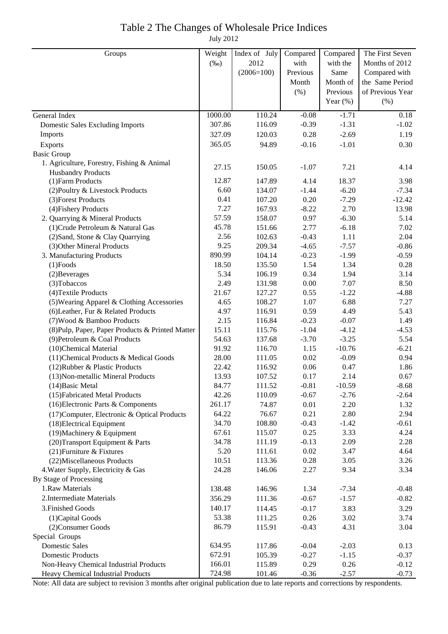# Table 2 The Changes of Wholesale Price Indices

July 2012

| Groups                                           | Weight  | Index of July | Compared | Compared    | The First Seven  |
|--------------------------------------------------|---------|---------------|----------|-------------|------------------|
|                                                  | $(\%0)$ | 2012          | with     | with the    | Months of 2012   |
|                                                  |         | $(2006=100)$  | Previous | Same        | Compared with    |
|                                                  |         |               | Month    | Month of    | the Same Period  |
|                                                  |         |               | (% )     | Previous    | of Previous Year |
|                                                  |         |               |          | Year $(\%)$ | (% )             |
| General Index                                    | 1000.00 | 110.24        | $-0.08$  | $-1.71$     | 0.18             |
| <b>Domestic Sales Excluding Imports</b>          | 307.86  | 116.09        | $-0.39$  | $-1.31$     | $-1.02$          |
| Imports                                          | 327.09  | 120.03        | 0.28     | $-2.69$     | 1.19             |
| Exports                                          | 365.05  | 94.89         | $-0.16$  | $-1.01$     | 0.30             |
| <b>Basic Group</b>                               |         |               |          |             |                  |
| 1. Agriculture, Forestry, Fishing & Animal       | 27.15   | 150.05        | $-1.07$  | 7.21        |                  |
| <b>Husbandry Products</b>                        |         |               |          |             | 4.14             |
| (1) Farm Products                                | 12.87   | 147.89        | 4.14     | 18.37       | 3.98             |
| (2) Poultry & Livestock Products                 | 6.60    | 134.07        | $-1.44$  | $-6.20$     | $-7.34$          |
| (3) Forest Products                              | 0.41    | 107.20        | 0.20     | $-7.29$     | $-12.42$         |
| (4) Fishery Products                             | 7.27    | 167.93        | $-8.22$  | 2.70        | 13.98            |
| 2. Quarrying & Mineral Products                  | 57.59   | 158.07        | 0.97     | $-6.30$     | 5.14             |
| (1) Crude Petroleum & Natural Gas                | 45.78   | 151.66        | 2.77     | $-6.18$     | 7.02             |
| (2) Sand, Stone & Clay Quarrying                 | 2.56    | 102.63        | $-0.43$  | 1.11        | 2.04             |
| (3) Other Mineral Products                       | 9.25    | 209.34        | $-4.65$  | $-7.57$     | $-0.86$          |
| 3. Manufacturing Products                        | 890.99  | 104.14        | $-0.23$  | $-1.99$     | $-0.59$          |
| $(1)$ Foods                                      | 18.50   | 135.50        | 1.54     | 1.34        | 0.28             |
| (2) Beverages                                    | 5.34    | 106.19        | 0.34     | 1.94        | 3.14             |
| (3) Tobaccos                                     | 2.49    | 131.98        | $0.00\,$ | 7.07        | 8.50             |
| (4) Textile Products                             | 21.67   | 127.27        | 0.55     | $-1.22$     | $-4.88$          |
| (5) Wearing Apparel & Clothing Accessories       | 4.65    | 108.27        | 1.07     | 6.88        | 7.27             |
| (6) Leather, Fur & Related Products              | 4.97    | 116.91        | 0.59     | 4.49        | 5.43             |
| (7) Wood & Bamboo Products                       | 2.15    | 116.84        | $-0.23$  | $-0.07$     | 1.49             |
| (8) Pulp, Paper, Paper Products & Printed Matter | 15.11   | 115.76        | $-1.04$  | $-4.12$     | $-4.53$          |
| (9) Petroleum & Coal Products                    | 54.63   | 137.68        | $-3.70$  | $-3.25$     | 5.54             |
| (10)Chemical Material                            | 91.92   | 116.70        | 1.15     | $-10.76$    | $-6.21$          |
| (11) Chemical Products & Medical Goods           | 28.00   | 111.05        | 0.02     | $-0.09$     | 0.94             |
| (12) Rubber & Plastic Products                   | 22.42   | 116.92        | 0.06     | 0.47        | 1.86             |
| (13) Non-metallic Mineral Products               | 13.93   | 107.52        | 0.17     | 2.14        | 0.67             |
| (14) Basic Metal                                 | 84.77   | 111.52        | $-0.81$  | $-10.59$    | $-8.68$          |
| (15) Fabricated Metal Products                   | 42.26   | 110.09        | $-0.67$  | $-2.76$     | $-2.64$          |
| (16) Electronic Parts & Components               | 261.17  | 74.87         | 0.01     | 2.20        | 1.32             |
| (17) Computer, Electronic & Optical Products     | 64.22   | 76.67         | 0.21     | 2.80        | 2.94             |
| (18) Electrical Equipment                        | 34.70   | 108.80        | $-0.43$  | $-1.42$     | $-0.61$          |
| (19) Machinery & Equipment                       | 67.61   | 115.07        | 0.25     | 3.33        | 4.24             |
| (20) Transport Equipment & Parts                 | 34.78   | 111.19        | $-0.13$  | 2.09        | 2.28             |
| (21) Furniture & Fixtures                        | 5.20    | 111.61        | 0.02     | 3.47        | 4.64             |
| (22) Miscellaneous Products                      | 10.51   | 113.36        | 0.28     | 3.05        | 3.26             |
| 4. Water Supply, Electricity & Gas               | 24.28   | 146.06        | 2.27     | 9.34        | 3.34             |
| By Stage of Processing                           |         |               |          |             |                  |
| 1.Raw Materials                                  | 138.48  | 146.96        | 1.34     | $-7.34$     | $-0.48$          |
| 2. Intermediate Materials                        | 356.29  | 111.36        | $-0.67$  | $-1.57$     | $-0.82$          |
| 3. Finished Goods                                | 140.17  | 114.45        | $-0.17$  | 3.83        | 3.29             |
| (1) Capital Goods                                | 53.38   | 111.25        | 0.26     | 3.02        | 3.74             |
| (2) Consumer Goods                               | 86.79   | 115.91        | $-0.43$  | 4.31        | 3.04             |
| Special Groups                                   |         |               |          |             |                  |
| <b>Domestic Sales</b>                            | 634.95  | 117.86        | $-0.04$  | $-2.03$     | 0.13             |
| <b>Domestic Products</b>                         | 672.91  | 105.39        | $-0.27$  | $-1.15$     | $-0.37$          |
| Non-Heavy Chemical Industrial Products           | 166.01  | 115.89        | 0.29     | 0.26        | $-0.12$          |
| Heavy Chemical Industrial Products               | 724.98  | 101.46        | $-0.36$  | $-2.57$     | $-0.73$          |

Note: All data are subject to revision 3 months after original publication due to late reports and corrections by respondents.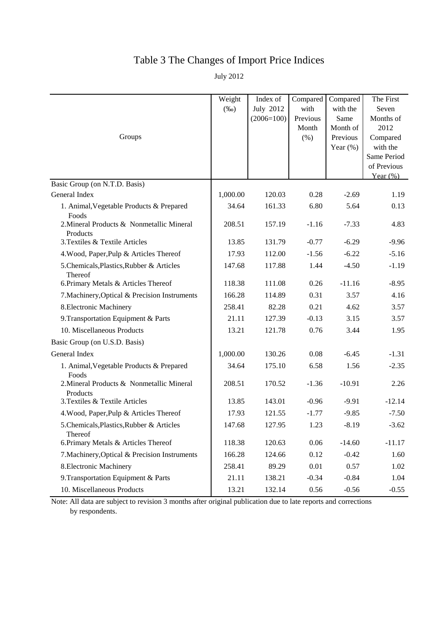# Table 3 The Changes of Import Price Indices

July 2012

|                                                       | Weight<br>$(\%0)$ | Index of<br><b>July 2012</b> | Compared<br>with          | Compared<br>with the                        | The First<br>Seven                        |
|-------------------------------------------------------|-------------------|------------------------------|---------------------------|---------------------------------------------|-------------------------------------------|
| Groups                                                |                   | $(2006=100)$                 | Previous<br>Month<br>(% ) | Same<br>Month of<br>Previous<br>Year $(\%)$ | Months of<br>2012<br>Compared<br>with the |
|                                                       |                   |                              |                           |                                             | Same Period<br>of Previous<br>Year $(\%)$ |
| Basic Group (on N.T.D. Basis)                         |                   |                              |                           |                                             |                                           |
| General Index                                         | 1,000.00          | 120.03                       | 0.28                      | $-2.69$                                     | 1.19                                      |
| 1. Animal, Vegetable Products & Prepared<br>Foods     | 34.64             | 161.33                       | 6.80                      | 5.64                                        | 0.13                                      |
| 2. Mineral Products & Nonmetallic Mineral<br>Products | 208.51            | 157.19                       | $-1.16$                   | $-7.33$                                     | 4.83                                      |
| 3. Textiles & Textile Articles                        | 13.85             | 131.79                       | $-0.77$                   | $-6.29$                                     | $-9.96$                                   |
| 4. Wood, Paper, Pulp & Articles Thereof               | 17.93             | 112.00                       | $-1.56$                   | $-6.22$                                     | $-5.16$                                   |
| 5.Chemicals, Plastics, Rubber & Articles<br>Thereof   | 147.68            | 117.88                       | 1.44                      | $-4.50$                                     | $-1.19$                                   |
| 6. Primary Metals & Articles Thereof                  | 118.38            | 111.08                       | 0.26                      | $-11.16$                                    | $-8.95$                                   |
| 7. Machinery, Optical & Precision Instruments         | 166.28            | 114.89                       | 0.31                      | 3.57                                        | 4.16                                      |
| 8. Electronic Machinery                               | 258.41            | 82.28                        | 0.21                      | 4.62                                        | 3.57                                      |
| 9. Transportation Equipment & Parts                   | 21.11             | 127.39                       | $-0.13$                   | 3.15                                        | 3.57                                      |
| 10. Miscellaneous Products                            | 13.21             | 121.78                       | 0.76                      | 3.44                                        | 1.95                                      |
| Basic Group (on U.S.D. Basis)                         |                   |                              |                           |                                             |                                           |
| General Index                                         | 1,000.00          | 130.26                       | 0.08                      | $-6.45$                                     | $-1.31$                                   |
| 1. Animal, Vegetable Products & Prepared<br>Foods     | 34.64             | 175.10                       | 6.58                      | 1.56                                        | $-2.35$                                   |
| 2. Mineral Products & Nonmetallic Mineral<br>Products | 208.51            | 170.52                       | $-1.36$                   | $-10.91$                                    | 2.26                                      |
| 3. Textiles & Textile Articles                        | 13.85             | 143.01                       | $-0.96$                   | $-9.91$                                     | $-12.14$                                  |
| 4. Wood, Paper, Pulp & Articles Thereof               | 17.93             | 121.55                       | $-1.77$                   | $-9.85$                                     | $-7.50$                                   |
| 5. Chemicals, Plastics, Rubber & Articles<br>Thereof  | 147.68            | 127.95                       | 1.23                      | $-8.19$                                     | $-3.62$                                   |
| 6. Primary Metals & Articles Thereof                  | 118.38            | 120.63                       | 0.06                      | $-14.60$                                    | $-11.17$                                  |
| 7. Machinery, Optical & Precision Instruments         | 166.28            | 124.66                       | 0.12                      | $-0.42$                                     | 1.60                                      |
| 8. Electronic Machinery                               | 258.41            | 89.29                        | $0.01\,$                  | 0.57                                        | 1.02                                      |
| 9. Transportation Equipment & Parts                   | 21.11             | 138.21                       | $-0.34$                   | $-0.84$                                     | 1.04                                      |
| 10. Miscellaneous Products                            | 13.21             | 132.14                       | 0.56                      | $-0.56$                                     | $-0.55$                                   |

Note: All data are subject to revision 3 months after original publication due to late reports and corrections by respondents.